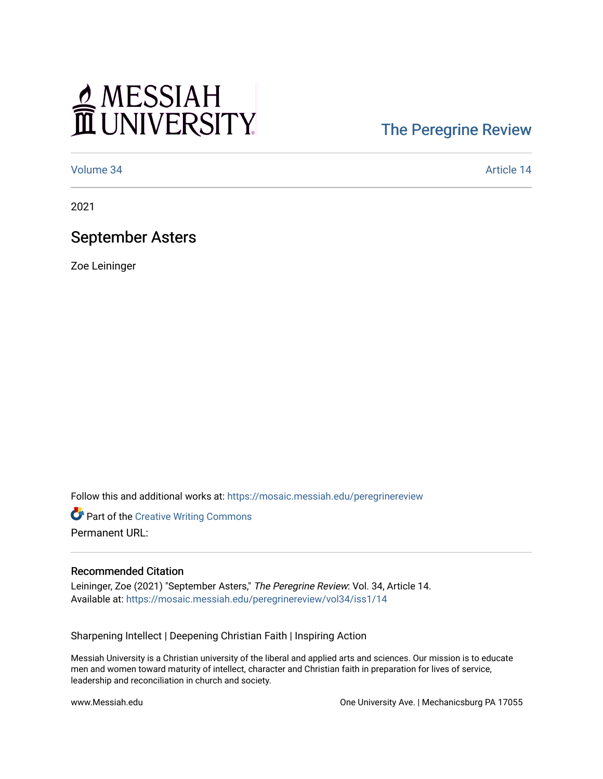# MESSIAH

## [The Peregrine Review](https://mosaic.messiah.edu/peregrinereview)

[Volume 34](https://mosaic.messiah.edu/peregrinereview/vol34) Article 14

2021

### September Asters

Zoe Leininger

Follow this and additional works at: [https://mosaic.messiah.edu/peregrinereview](https://mosaic.messiah.edu/peregrinereview?utm_source=mosaic.messiah.edu%2Fperegrinereview%2Fvol34%2Fiss1%2F14&utm_medium=PDF&utm_campaign=PDFCoverPages) 

**Part of the Creative Writing Commons** Permanent URL:

#### Recommended Citation

Leininger, Zoe (2021) "September Asters," The Peregrine Review: Vol. 34, Article 14. Available at: [https://mosaic.messiah.edu/peregrinereview/vol34/iss1/14](https://mosaic.messiah.edu/peregrinereview/vol34/iss1/14?utm_source=mosaic.messiah.edu%2Fperegrinereview%2Fvol34%2Fiss1%2F14&utm_medium=PDF&utm_campaign=PDFCoverPages)

Sharpening Intellect | Deepening Christian Faith | Inspiring Action

Messiah University is a Christian university of the liberal and applied arts and sciences. Our mission is to educate men and women toward maturity of intellect, character and Christian faith in preparation for lives of service, leadership and reconciliation in church and society.

www.Messiah.edu One University Ave. | Mechanicsburg PA 17055